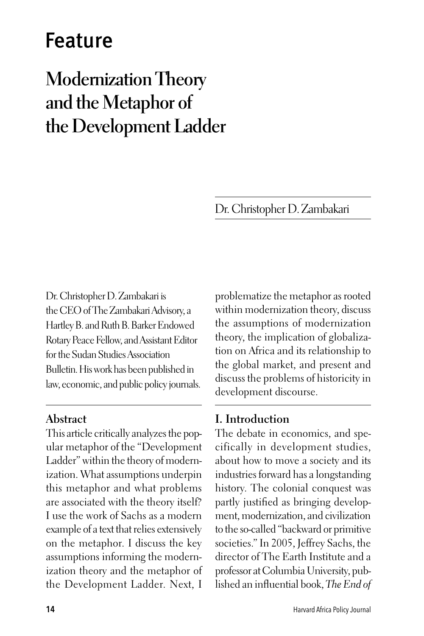# Feature

# **Modernization Theory and the Metaphor of the Development Ladder**

Dr. Christopher D. Zambakari

Dr. Christopher D. Zambakari is the CEO of The Zambakari Advisory, a Hartley B. and Ruth B. Barker Endowed Rotary Peace Fellow, and Assistant Editor for the Sudan Studies Association Bulletin. His work has been published in law, economic, and public policy journals.

#### **Abstract**

This article critically analyzes the popular metaphor of the "Development Ladder" within the theory of modernization. What assumptions underpin this metaphor and what problems are associated with the theory itself? I use the work of Sachs as a modern example of a text that relies extensively on the metaphor. I discuss the key assumptions informing the modernization theory and the metaphor of the Development Ladder. Next, I

problematize the metaphor as rooted within modernization theory, discuss the assumptions of modernization theory, the implication of globalization on Africa and its relationship to the global market, and present and discuss the problems of historicity in development discourse.

### **I. Introduction**

The debate in economics, and specifically in development studies, about how to move a society and its industries forward has a longstanding history. The colonial conquest was partly justified as bringing development, modernization, and civilization to the so-called "backward or primitive societies." In 2005, Jeffrey Sachs, the director of The Earth Institute and a professor at Columbia University, published an influential book, *The End of*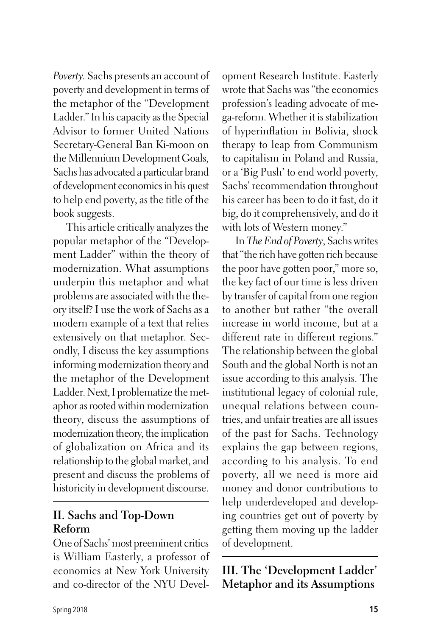*Poverty.* Sachs presents an account of poverty and development in terms of the metaphor of the "Development Ladder." In his capacity as the Special Advisor to former United Nations Secretary-General Ban Ki-moon on the Millennium Development Goals, Sachs has advocated a particular brand of development economics in his quest to help end poverty, as the title of the book suggests.

This article critically analyzes the popular metaphor of the "Development Ladder" within the theory of modernization. What assumptions underpin this metaphor and what problems are associated with the theory itself? I use the work of Sachs as a modern example of a text that relies extensively on that metaphor. Secondly, I discuss the key assumptions informing modernization theory and the metaphor of the Development Ladder. Next, I problematize the metaphor as rooted within modernization theory, discuss the assumptions of modernization theory, the implication of globalization on Africa and its relationship to the global market, and present and discuss the problems of historicity in development discourse.

## **II. Sachs and Top-Down Reform**

One of Sachs' most preeminent critics is William Easterly, a professor of economics at New York University and co-director of the NYU Development Research Institute. Easterly wrote that Sachs was "the economics profession's leading advocate of mega-reform. Whether it is stabilization of hyperinflation in Bolivia, shock therapy to leap from Communism to capitalism in Poland and Russia, or a 'Big Push' to end world poverty, Sachs' recommendation throughout his career has been to do it fast, do it big, do it comprehensively, and do it with lots of Western money."

In *The End of Poverty*, Sachs writes that "the rich have gotten rich because the poor have gotten poor," more so, the key fact of our time is less driven by transfer of capital from one region to another but rather "the overall increase in world income, but at a different rate in different regions." The relationship between the global South and the global North is not an issue according to this analysis. The institutional legacy of colonial rule, unequal relations between countries, and unfair treaties are all issues of the past for Sachs. Technology explains the gap between regions, according to his analysis. To end poverty, all we need is more aid money and donor contributions to help underdeveloped and developing countries get out of poverty by getting them moving up the ladder of development.

**III. The 'Development Ladder' Metaphor and its Assumptions**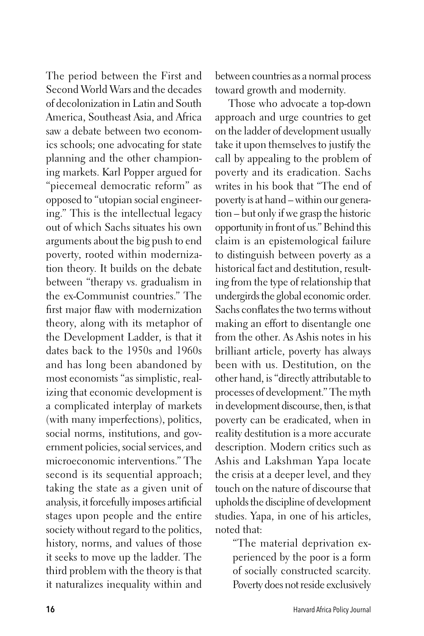The period between the First and Second World Wars and the decades of decolonization in Latin and South America, Southeast Asia, and Africa saw a debate between two economics schools; one advocating for state planning and the other championing markets. Karl Popper argued for "piecemeal democratic reform" as opposed to "utopian social engineering." This is the intellectual legacy out of which Sachs situates his own arguments about the big push to end poverty, rooted within modernization theory. It builds on the debate between "therapy vs. gradualism in the ex-Communist countries." The first major flaw with modernization theory, along with its metaphor of the Development Ladder, is that it dates back to the 1950s and 1960s and has long been abandoned by most economists "as simplistic, realizing that economic development is a complicated interplay of markets (with many imperfections), politics, social norms, institutions, and government policies, social services, and microeconomic interventions." The second is its sequential approach; taking the state as a given unit of analysis, it forcefully imposes artificial stages upon people and the entire society without regard to the politics, history, norms, and values of those it seeks to move up the ladder. The third problem with the theory is that it naturalizes inequality within and

between countries as a normal process toward growth and modernity.

Those who advocate a top-down approach and urge countries to get on the ladder of development usually take it upon themselves to justify the call by appealing to the problem of poverty and its eradication. Sachs writes in his book that "The end of poverty is at hand – within our generation – but only if we grasp the historic opportunity in front of us." Behind this claim is an epistemological failure to distinguish between poverty as a historical fact and destitution, resulting from the type of relationship that undergirds the global economic order. Sachs conflates the two terms without making an effort to disentangle one from the other. As Ashis notes in his brilliant article, poverty has always been with us. Destitution, on the other hand, is "directly attributable to processes of development." The myth in development discourse, then, is that poverty can be eradicated, when in reality destitution is a more accurate description. Modern critics such as Ashis and Lakshman Yapa locate the crisis at a deeper level, and they touch on the nature of discourse that upholds the discipline of development studies. Yapa, in one of his articles, noted that:

> "The material deprivation experienced by the poor is a form of socially constructed scarcity. Poverty does not reside exclusively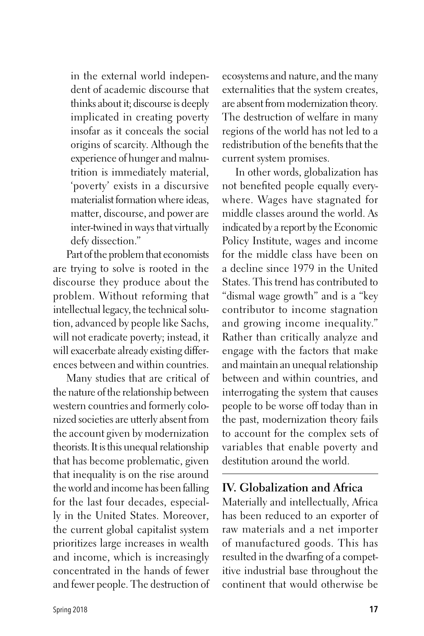in the external world independent of academic discourse that thinks about it; discourse is deeply implicated in creating poverty insofar as it conceals the social origins of scarcity. Although the experience of hunger and malnutrition is immediately material, 'poverty' exists in a discursive materialist formation where ideas, matter, discourse, and power are inter-twined in ways that virtually defy dissection."

Part of the problem that economists are trying to solve is rooted in the discourse they produce about the problem. Without reforming that intellectual legacy, the technical solution, advanced by people like Sachs, will not eradicate poverty; instead, it will exacerbate already existing differences between and within countries.

Many studies that are critical of the nature of the relationship between western countries and formerly colonized societies are utterly absent from the account given by modernization theorists. It is this unequal relationship that has become problematic, given that inequality is on the rise around the world and income has been falling for the last four decades, especially in the United States. Moreover, the current global capitalist system prioritizes large increases in wealth and income, which is increasingly concentrated in the hands of fewer and fewer people. The destruction of ecosystems and nature, and the many externalities that the system creates, are absent from modernization theory. The destruction of welfare in many regions of the world has not led to a redistribution of the benefits that the current system promises.

In other words, globalization has not benefited people equally everywhere. Wages have stagnated for middle classes around the world. As indicated by a report by the Economic Policy Institute, wages and income for the middle class have been on a decline since 1979 in the United States. This trend has contributed to "dismal wage growth" and is a "key contributor to income stagnation and growing income inequality." Rather than critically analyze and engage with the factors that make and maintain an unequal relationship between and within countries, and interrogating the system that causes people to be worse off today than in the past, modernization theory fails to account for the complex sets of variables that enable poverty and destitution around the world.

### **IV. Globalization and Africa**

Materially and intellectually, Africa has been reduced to an exporter of raw materials and a net importer of manufactured goods. This has resulted in the dwarfing of a competitive industrial base throughout the continent that would otherwise be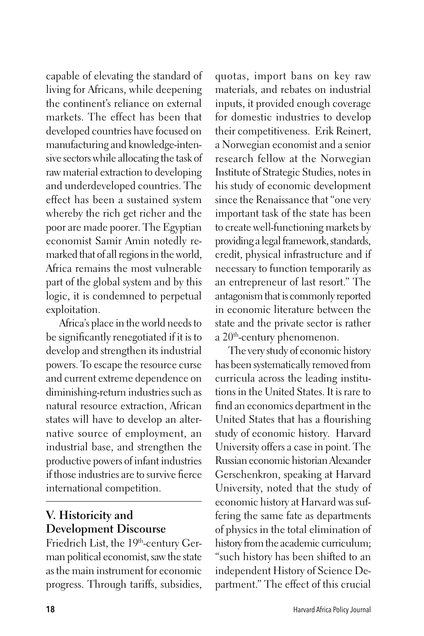capable of elevating the standard of living for Africans, while deepening the continent's reliance on external markets. The effect has been that developed countries have focused on manufacturing and knowledge-intensive sectors while allocating the task of raw material extraction to developing and underdeveloped countries. The effect has been a sustained system whereby the rich get richer and the poor are made poorer. The Egyptian economist Samir Amin notedly remarked that of all regions in the world, Africa remains the most vulnerable part of the global system and by this logic, it is condemned to perpetual exploitation.

Africa's place in the world needs to be significantly renegotiated if it is to develop and strengthen its industrial powers. To escape the resource curse and current extreme dependence on diminishing-return industries such as natural resource extraction, African states will have to develop an alternative source of employment, an industrial base, and strengthen the productive powers of infant industries if those industries are to survive fierce international competition.

# **V. Historicity and Development Discourse**

Friedrich List, the 19th-century German political economist, saw the state as the main instrument for economic progress. Through tariffs, subsidies,

quotas, import bans on key raw materials, and rebates on industrial inputs, it provided enough coverage for domestic industries to develop their competitiveness. Erik Reinert, a Norwegian economist and a senior research fellow at the Norwegian Institute of Strategic Studies, notes in his study of economic development since the Renaissance that "one very important task of the state has been to create well-functioning markets by providing a legal framework, standards, credit, physical infrastructure and if necessary to function temporarily as an entrepreneur of last resort." The antagonism that is commonly reported in economic literature between the state and the private sector is rather a 20<sup>th</sup>-century phenomenon.

The very study of economic history has been systematically removed from curricula across the leading institutions in the United States. It is rare to find an economics department in the United States that has a flourishing study of economic history. Harvard University offers a case in point. The Russian economic historian Alexander Gerschenkron, speaking at Harvard University, noted that the study of economic history at Harvard was suffering the same fate as departments of physics in the total elimination of history from the academic curriculum; "such history has been shifted to an independent History of Science Department." The effect of this crucial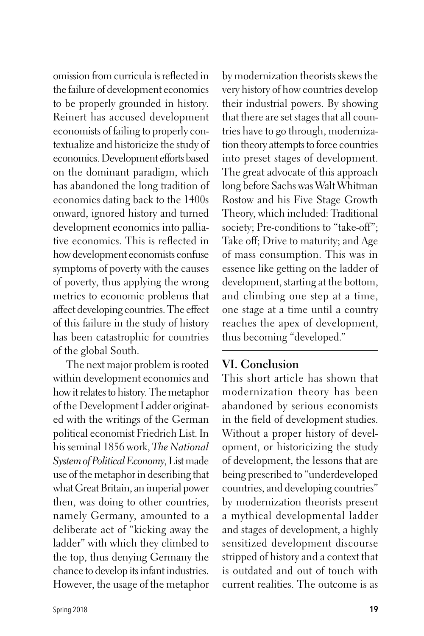omission from curricula is reflected in the failure of development economics to be properly grounded in history. Reinert has accused development economists of failing to properly contextualize and historicize the study of economics. Development efforts based on the dominant paradigm, which has abandoned the long tradition of economics dating back to the 1400s onward, ignored history and turned development economics into palliative economics. This is reflected in how development economists confuse symptoms of poverty with the causes of poverty, thus applying the wrong metrics to economic problems that affect developing countries. The effect of this failure in the study of history has been catastrophic for countries of the global South.

The next major problem is rooted within development economics and how it relates to history. The metaphor of the Development Ladder originated with the writings of the German political economist Friedrich List. In his seminal 1856 work, *The National System of Political Economy,* List made use of the metaphor in describing that what Great Britain, an imperial power then, was doing to other countries, namely Germany, amounted to a deliberate act of "kicking away the ladder" with which they climbed to the top, thus denying Germany the chance to develop its infant industries. However, the usage of the metaphor by modernization theorists skews the very history of how countries develop their industrial powers. By showing that there are set stages that all countries have to go through, modernization theory attempts to force countries into preset stages of development. The great advocate of this approach long before Sachs was Walt Whitman Rostow and his Five Stage Growth Theory, which included: Traditional society; Pre-conditions to "take-off"; Take off; Drive to maturity; and Age of mass consumption. This was in essence like getting on the ladder of development, starting at the bottom, and climbing one step at a time, one stage at a time until a country reaches the apex of development, thus becoming "developed."

### **VI. Conclusion**

This short article has shown that modernization theory has been abandoned by serious economists in the field of development studies. Without a proper history of development, or historicizing the study of development, the lessons that are being prescribed to "underdeveloped countries, and developing countries" by modernization theorists present a mythical developmental ladder and stages of development, a highly sensitized development discourse stripped of history and a context that is outdated and out of touch with current realities. The outcome is as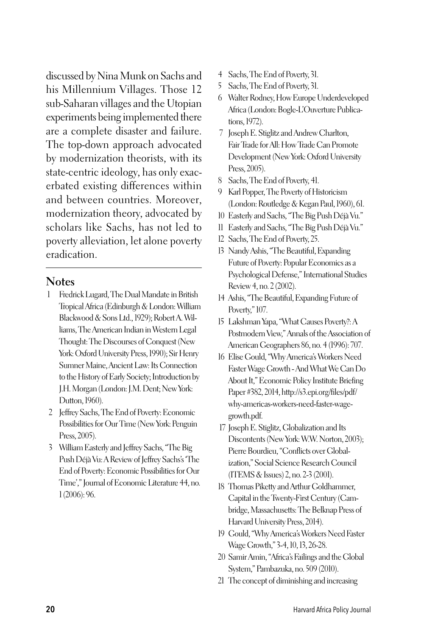discussed by Nina Munk on Sachs and his Millennium Villages. Those 12 sub-Saharan villages and the Utopian experiments being implemented there are a complete disaster and failure. The top-down approach advocated by modernization theorists, with its state-centric ideology, has only exacerbated existing differences within and between countries. Moreover, modernization theory, advocated by scholars like Sachs, has not led to poverty alleviation, let alone poverty eradication.

#### **Notes**

- 1 Fredrick Lugard, The Dual Mandate in British Tropical Africa (Edinburgh & London: William Blackwood & Sons Ltd., 1929); Robert A. Williams, The American Indian in Western Legal Thought: The Discourses of Conquest (New York: Oxford University Press, 1990); Sir Henry Sumner Maine, Ancient Law: Its Connection to the History of Early Society; Introduction by J.H. Morgan (London: J.M. Dent; New York: Dutton, 1960).
- 2 Jeffrey Sachs, The End of Poverty: Economic Possibilities for Our Time (New York: Penguin Press, 2005).
- 3 William Easterly and Jeffrey Sachs, "The Big Push Déjà Vu: A Review of Jeffrey Sachs's 'The End of Poverty: Economic Possibilities for Our Time'," Journal of Economic Literature 44, no. 1 (2006): 96.
- 4 Sachs, The End of Poverty, 31.
- 5 Sachs, The End of Poverty, 31.
- 6 Walter Rodney, How Europe Underdeveloped Africa (London: Bogle-L'Ouverture Publications, 1972).
- 7 Joseph E. Stiglitz and Andrew Charlton, Fair Trade for All: How Trade Can Promote Development (New York: Oxford University Press, 2005).
- 8 Sachs, The End of Poverty, 41.
- 9 Karl Popper, The Poverty of Historicism (London: Routledge & Kegan Paul, 1960), 61.
- 10 Easterly and Sachs, "The Big Push Déjà Vu."
- 11 Easterly and Sachs, "The Big Push Déjà Vu."
- 12 Sachs, The End of Poverty, 25.
- 13 Nandy Ashis, "The Beautiful, Expanding Future of Poverty: Popular Economics as a Psychological Defense," International Studies Review 4, no. 2 (2002).
- 14 Ashis, "The Beautiful, Expanding Future of Poverty," 107.
- 15 Lakshman Yapa, "What Causes Poverty?: A Postmodern View," Annals of the Association of American Geographers 86, no. 4 (1996): 707.
- 16 Elise Gould, "Why America's Workers Need Faster Wage Growth - And What We Can Do About It," Economic Policy Institute Briefing Paper #382, 2014, http://s3.epi.org/files/pdf/ why-americas-workers-need-faster-wagegrowth.pdf.
- 17 Joseph E. Stiglitz, Globalization and Its Discontents (New York: W.W. Norton, 2003); Pierre Bourdieu, "Conflicts over Globalization," Social Science Research Council (ITEMS & Issues) 2, no. 2-3 (2001).
- 18 Thomas Piketty and Arthur Goldhammer, Capital in the Twenty-First Century (Cambridge, Massachusetts: The Belknap Press of Harvard University Press, 2014).
- 19 Gould, "Why America's Workers Need Faster Wage Growth," 3-4, 10, 13, 26-28.
- 20 Samir Amin, "Africa's Failings and the Global System," Pambazuka, no. 509 (2010).
- 21 The concept of diminishing and increasing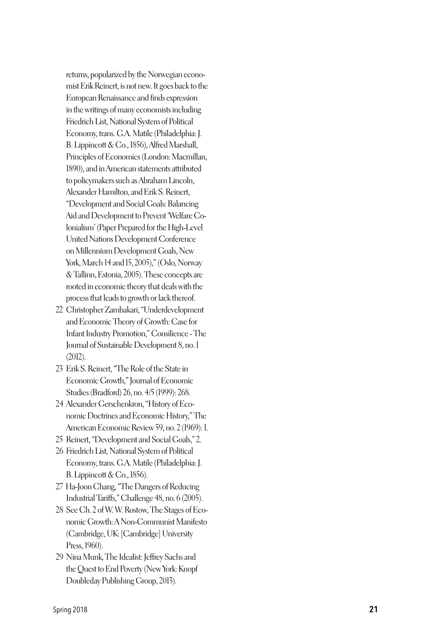returns, popularized by the Norwegian econo mist Erik Reinert, is not new. It goes back to the European Renaissance and finds expression in the writings of many economists including Friedrich List, National System of Political Economy, trans. G.A. Matile (Philadelphia: J. B. Lippincott & Co., 1856), Alfred Marshall, Principles of Economics (London: Macmillan, 1890), and in American statements attributed to policymakers such as Abraham Lincoln, Alexander Hamilton, and Erik S. Reinert, "Development and Social Goals: Balancing Aid and Development to Prevent 'Welfare Co lonialism' (Paper Prepared for the High-Level United Nations Development Conference on Millennium Development Goals, New York, March 14 and 15, 2005)," (Oslo, Norway & Tallinn, Estonia, 2005). These concepts are rooted in economic theory that deals with the process that leads to growth or lack thereof.

- 22 Christopher Zambakari, "Underdevelopment and Economic Theory of Growth: Case for Infant Industry Promotion," Consilience - The Journal of Sustainable Development 8, no. 1 (2012).
- 23 Erik S. Reinert, "The Role of the State in Economic Growth," Journal of Economic Studies (Bradford) 26, no. 4/5 (1999): 268.
- 24 Alexander Gerschenkron, "History of Eco nomic Doctrines and Economic History," The American Economic Review 59, no. 2 (1969): 1.
- 25 Reinert, "Development and Social Goals," 2.
- 26 Friedrich List, National System of Political Economy, trans. G.A. Matile (Philadelphia: J. B. Lippincott & Co., 1856).
- 27 Ha-Joon Chang, "The Dangers of Reducing Industrial Tariffs," Challenge 48, no. 6 (2005).
- 28 See Ch. 2 of W. W. Rostow, The Stages of Eco nomic Growth: A Non-Communist Manifesto (Cambridge, UK: [Cambridge] University Press, 1960).
- 29 Nina Munk, The Idealist: Jeffrey Sachs and the Quest to End Poverty (New York: Knopf Doubleday Publishing Group, 2013).